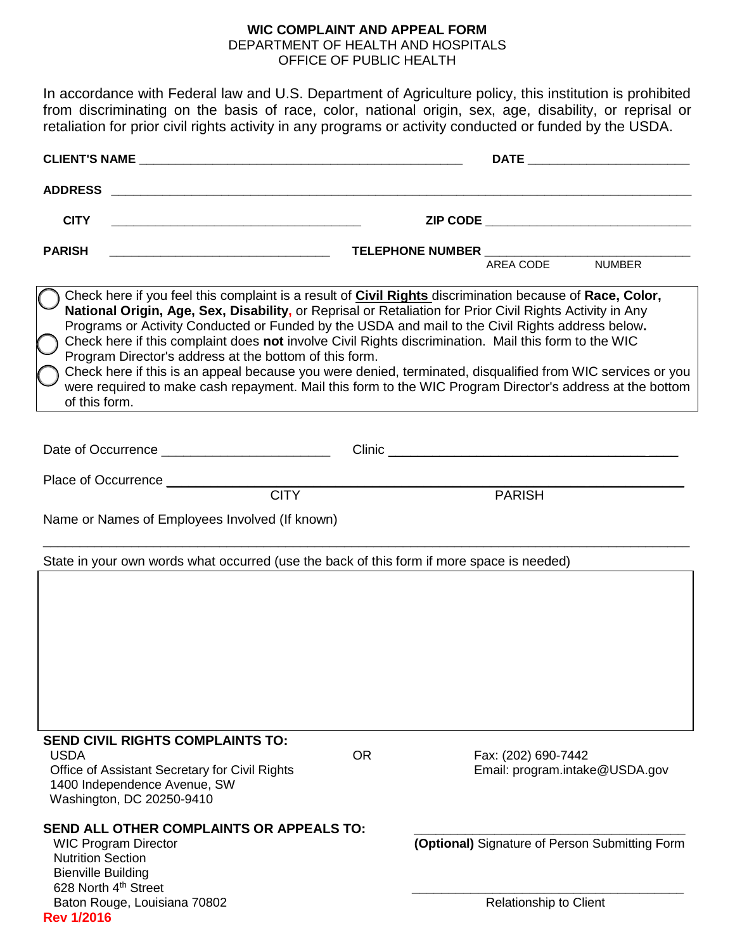#### **WIC COMPLAINT AND APPEAL FORM**

DEPARTMENT OF HEALTH AND HOSPITALS OFFICE OF PUBLIC HEALTH

In accordance with Federal law and U.S. Department of Agriculture policy, this institution is prohibited from discriminating on the basis of race, color, national origin, sex, age, disability, or reprisal or retaliation for prior civil rights activity in any programs or activity conducted or funded by the USDA.

|                                                                                                                                                                                                                                                                                                                                                                                                                                                                                                                                                                                                                                                                                                                                       |                                     | DATE ___________________________                                         |
|---------------------------------------------------------------------------------------------------------------------------------------------------------------------------------------------------------------------------------------------------------------------------------------------------------------------------------------------------------------------------------------------------------------------------------------------------------------------------------------------------------------------------------------------------------------------------------------------------------------------------------------------------------------------------------------------------------------------------------------|-------------------------------------|--------------------------------------------------------------------------|
| <b>ADDRESS</b>                                                                                                                                                                                                                                                                                                                                                                                                                                                                                                                                                                                                                                                                                                                        |                                     |                                                                          |
| <b>CITY</b>                                                                                                                                                                                                                                                                                                                                                                                                                                                                                                                                                                                                                                                                                                                           |                                     | ZIP CODE _________________________________                               |
| <b>PARISH</b>                                                                                                                                                                                                                                                                                                                                                                                                                                                                                                                                                                                                                                                                                                                         | TELEPHONE NUMBER __________________ | AREA CODE<br><b>NUMBER</b>                                               |
| Check here if you feel this complaint is a result of Civil Rights discrimination because of Race, Color,<br>National Origin, Age, Sex, Disability, or Reprisal or Retaliation for Prior Civil Rights Activity in Any<br>Programs or Activity Conducted or Funded by the USDA and mail to the Civil Rights address below.<br>Check here if this complaint does not involve Civil Rights discrimination. Mail this form to the WIC<br>Program Director's address at the bottom of this form.<br>Check here if this is an appeal because you were denied, terminated, disqualified from WIC services or you<br>were required to make cash repayment. Mail this form to the WIC Program Director's address at the bottom<br>of this form. |                                     |                                                                          |
|                                                                                                                                                                                                                                                                                                                                                                                                                                                                                                                                                                                                                                                                                                                                       |                                     |                                                                          |
| Place of Occurrence _________                                                                                                                                                                                                                                                                                                                                                                                                                                                                                                                                                                                                                                                                                                         | <b>CITY</b>                         | <b>PARISH</b>                                                            |
| Name or Names of Employees Involved (If known)                                                                                                                                                                                                                                                                                                                                                                                                                                                                                                                                                                                                                                                                                        |                                     |                                                                          |
| State in your own words what occurred (use the back of this form if more space is needed)                                                                                                                                                                                                                                                                                                                                                                                                                                                                                                                                                                                                                                             |                                     |                                                                          |
| <b>SEND CIVIL RIGHTS COMPLAINTS TO:</b>                                                                                                                                                                                                                                                                                                                                                                                                                                                                                                                                                                                                                                                                                               |                                     |                                                                          |
| <b>USDA</b><br>Office of Assistant Secretary for Civil Rights<br>1400 Independence Avenue, SW<br>Washington, DC 20250-9410                                                                                                                                                                                                                                                                                                                                                                                                                                                                                                                                                                                                            | <b>OR</b>                           | Fax: (202) 690-7442<br>Email: program.intake@USDA.gov                    |
| <b>SEND ALL OTHER COMPLAINTS OR APPEALS TO:</b><br><b>WIC Program Director</b><br><b>Nutrition Section</b><br><b>Bienville Building</b><br>628 North 4 <sup>th</sup> Street<br>Baton Rouge, Louisiana 70802                                                                                                                                                                                                                                                                                                                                                                                                                                                                                                                           |                                     | (Optional) Signature of Person Submitting Form<br>Relationship to Client |
| <b>Rev 1/2016</b>                                                                                                                                                                                                                                                                                                                                                                                                                                                                                                                                                                                                                                                                                                                     |                                     |                                                                          |